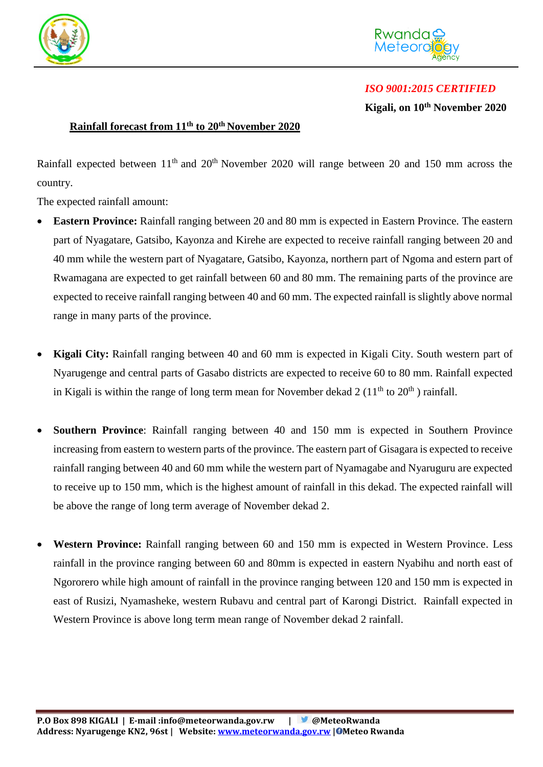



## *ISO 9001:2015 CERTIFIED*

**Kigali, on 10th November 2020**

## **Rainfall forecast from 11th to 20th November 2020**

Rainfall expected between  $11<sup>th</sup>$  and  $20<sup>th</sup>$  November 2020 will range between 20 and 150 mm across the country.

The expected rainfall amount:

- **Eastern Province:** Rainfall ranging between 20 and 80 mm is expected in Eastern Province. The eastern part of Nyagatare, Gatsibo, Kayonza and Kirehe are expected to receive rainfall ranging between 20 and 40 mm while the western part of Nyagatare, Gatsibo, Kayonza, northern part of Ngoma and estern part of Rwamagana are expected to get rainfall between 60 and 80 mm. The remaining parts of the province are expected to receive rainfall ranging between 40 and 60 mm. The expected rainfall is slightly above normal range in many parts of the province.
- **Kigali City:** Rainfall ranging between 40 and 60 mm is expected in Kigali City. South western part of Nyarugenge and central parts of Gasabo districts are expected to receive 60 to 80 mm. Rainfall expected in Kigali is within the range of long term mean for November dekad  $2(11<sup>th</sup>$  to  $20<sup>th</sup>$ ) rainfall.
- **Southern Province**: Rainfall ranging between 40 and 150 mm is expected in Southern Province increasing from eastern to western parts of the province. The eastern part of Gisagara is expected to receive rainfall ranging between 40 and 60 mm while the western part of Nyamagabe and Nyaruguru are expected to receive up to 150 mm, which is the highest amount of rainfall in this dekad. The expected rainfall will be above the range of long term average of November dekad 2.
- **Western Province:** Rainfall ranging between 60 and 150 mm is expected in Western Province. Less rainfall in the province ranging between 60 and 80mm is expected in eastern Nyabihu and north east of Ngororero while high amount of rainfall in the province ranging between 120 and 150 mm is expected in east of Rusizi, Nyamasheke, western Rubavu and central part of Karongi District. Rainfall expected in Western Province is above long term mean range of November dekad 2 rainfall.